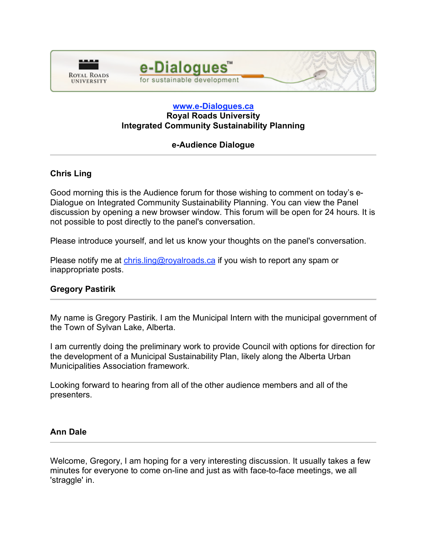

### **www.e-Dialogues.ca Royal Roads University Integrated Community Sustainability Planning**

# **e-Audience Dialogue**

# **Chris Ling**

Good morning this is the Audience forum for those wishing to comment on today's e-Dialogue on Integrated Community Sustainability Planning. You can view the Panel discussion by opening a new browser window. This forum will be open for 24 hours. It is not possible to post directly to the panel's conversation.

Please introduce yourself, and let us know your thoughts on the panel's conversation.

Please notify me at chris.ling@royalroads.ca if you wish to report any spam or inappropriate posts.

## **Gregory Pastirik**

My name is Gregory Pastirik. I am the Municipal Intern with the municipal government of the Town of Sylvan Lake, Alberta.

I am currently doing the preliminary work to provide Council with options for direction for the development of a Municipal Sustainability Plan, likely along the Alberta Urban Municipalities Association framework.

Looking forward to hearing from all of the other audience members and all of the presenters.

### **Ann Dale**

Welcome, Gregory, I am hoping for a very interesting discussion. It usually takes a few minutes for everyone to come on-line and just as with face-to-face meetings, we all 'straggle' in.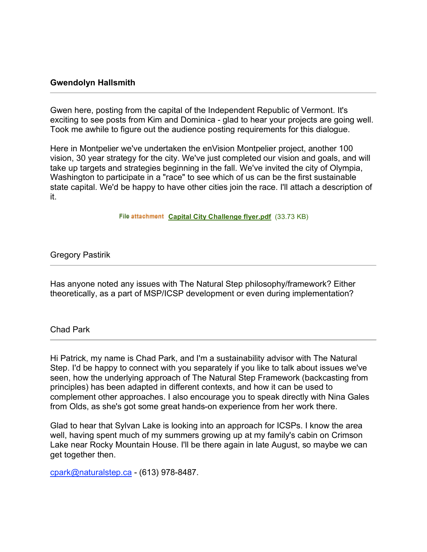### **Gwendolyn Hallsmith**

Gwen here, posting from the capital of the Independent Republic of Vermont. It's exciting to see posts from Kim and Dominica - glad to hear your projects are going well. Took me awhile to figure out the audience posting requirements for this dialogue.

Here in Montpelier we've undertaken the enVision Montpelier project, another 100 vision, 30 year strategy for the city. We've just completed our vision and goals, and will take up targets and strategies beginning in the fall. We've invited the city of Olympia, Washington to participate in a "race" to see which of us can be the first sustainable state capital. We'd be happy to have other cities join the race. I'll attach a description of it.

File attachment Capital City Challenge flyer.pdf (33.73 KB)

### Gregory Pastirik

Has anyone noted any issues with The Natural Step philosophy/framework? Either theoretically, as a part of MSP/ICSP development or even during implementation?

Chad Park

Hi Patrick, my name is Chad Park, and I'm a sustainability advisor with The Natural Step. I'd be happy to connect with you separately if you like to talk about issues we've seen, how the underlying approach of The Natural Step Framework (backcasting from principles) has been adapted in different contexts, and how it can be used to complement other approaches. I also encourage you to speak directly with Nina Gales from Olds, as she's got some great hands-on experience from her work there.

Glad to hear that Sylvan Lake is looking into an approach for ICSPs. I know the area well, having spent much of my summers growing up at my family's cabin on Crimson Lake near Rocky Mountain House. I'll be there again in late August, so maybe we can get together then.

cpark@naturalstep.ca - (613) 978-8487.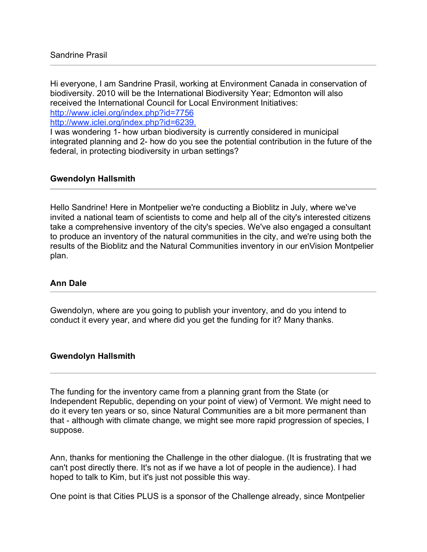Hi everyone, I am Sandrine Prasil, working at Environment Canada in conservation of biodiversity. 2010 will be the International Biodiversity Year; Edmonton will also received the International Council for Local Environment Initiatives: http://www.iclei.org/index.php?id=7756

http://www.iclei.org/index.php?id=6239.

I was wondering 1- how urban biodiversity is currently considered in municipal integrated planning and 2- how do you see the potential contribution in the future of the federal, in protecting biodiversity in urban settings?

#### **Gwendolyn Hallsmith**

Hello Sandrine! Here in Montpelier we're conducting a Bioblitz in July, where we've invited a national team of scientists to come and help all of the city's interested citizens take a comprehensive inventory of the city's species. We've also engaged a consultant to produce an inventory of the natural communities in the city, and we're using both the results of the Bioblitz and the Natural Communities inventory in our enVision Montpelier plan.

#### **Ann Dale**

Gwendolyn, where are you going to publish your inventory, and do you intend to conduct it every year, and where did you get the funding for it? Many thanks.

### **Gwendolyn Hallsmith**

The funding for the inventory came from a planning grant from the State (or Independent Republic, depending on your point of view) of Vermont. We might need to do it every ten years or so, since Natural Communities are a bit more permanent than that - although with climate change, we might see more rapid progression of species, I suppose.

Ann, thanks for mentioning the Challenge in the other dialogue. (It is frustrating that we can't post directly there. It's not as if we have a lot of people in the audience). I had hoped to talk to Kim, but it's just not possible this way.

One point is that Cities PLUS is a sponsor of the Challenge already, since Montpelier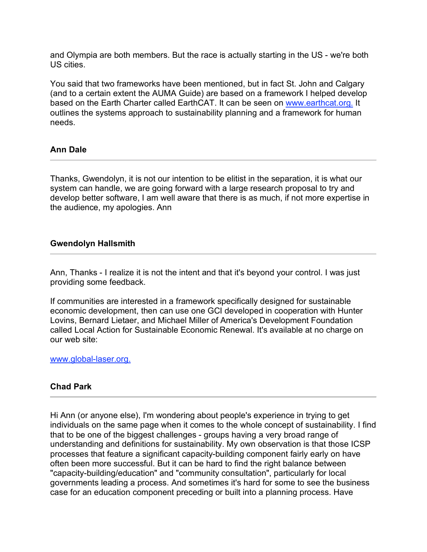and Olympia are both members. But the race is actually starting in the US - we're both US cities.

You said that two frameworks have been mentioned, but in fact St. John and Calgary (and to a certain extent the AUMA Guide) are based on a framework I helped develop based on the Earth Charter called EarthCAT. It can be seen on www.earthcat.org. It outlines the systems approach to sustainability planning and a framework for human needs.

## **Ann Dale**

Thanks, Gwendolyn, it is not our intention to be elitist in the separation, it is what our system can handle, we are going forward with a large research proposal to try and develop better software, I am well aware that there is as much, if not more expertise in the audience, my apologies. Ann

### **Gwendolyn Hallsmith**

Ann, Thanks - I realize it is not the intent and that it's beyond your control. I was just providing some feedback.

If communities are interested in a framework specifically designed for sustainable economic development, then can use one GCI developed in cooperation with Hunter Lovins, Bernard Lietaer, and Michael Miller of America's Development Foundation called Local Action for Sustainable Economic Renewal. It's available at no charge on our web site:

#### www.global-laser.org.

### **Chad Park**

Hi Ann (or anyone else), I'm wondering about people's experience in trying to get individuals on the same page when it comes to the whole concept of sustainability. I find that to be one of the biggest challenges - groups having a very broad range of understanding and definitions for sustainability. My own observation is that those ICSP processes that feature a significant capacity-building component fairly early on have often been more successful. But it can be hard to find the right balance between "capacity-building/education" and "community consultation", particularly for local governments leading a process. And sometimes it's hard for some to see the business case for an education component preceding or built into a planning process. Have